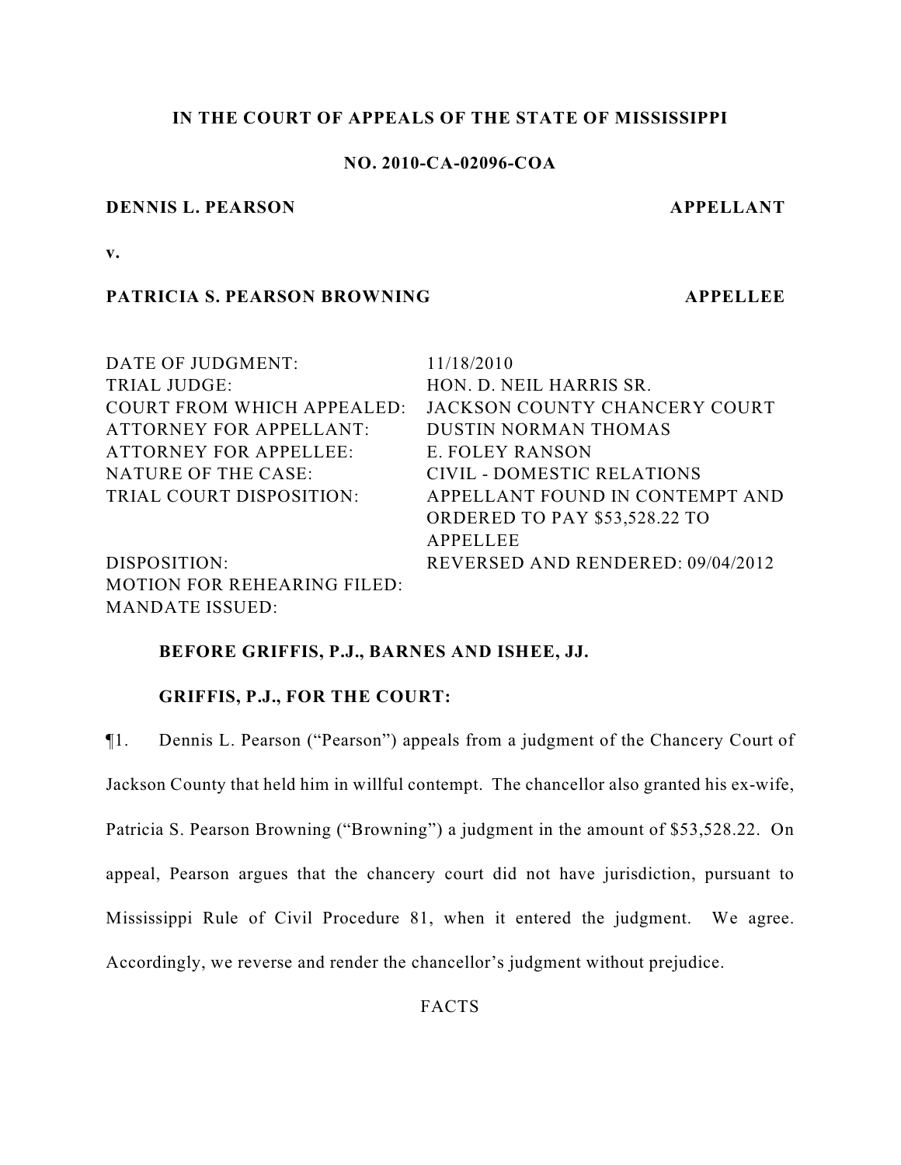# **IN THE COURT OF APPEALS OF THE STATE OF MISSISSIPPI**

# **NO. 2010-CA-02096-COA**

## **DENNIS L. PEARSON APPELLANT**

**v.**

# **PATRICIA S. PEARSON BROWNING APPELLEE**

| DATE OF JUDGMENT:                  | 11/18/2010                           |
|------------------------------------|--------------------------------------|
| TRIAL JUDGE:                       | HON. D. NEIL HARRIS SR.              |
| <b>COURT FROM WHICH APPEALED:</b>  | JACKSON COUNTY CHANCERY COURT        |
| <b>ATTORNEY FOR APPELLANT:</b>     | <b>DUSTIN NORMAN THOMAS</b>          |
| <b>ATTORNEY FOR APPELLEE:</b>      | E. FOLEY RANSON                      |
| NATURE OF THE CASE:                | <b>CIVIL - DOMESTIC RELATIONS</b>    |
| TRIAL COURT DISPOSITION:           | APPELLANT FOUND IN CONTEMPT AND      |
|                                    | <b>ORDERED TO PAY \$53,528.22 TO</b> |
|                                    | <b>APPELLEE</b>                      |
| DISPOSITION:                       | REVERSED AND RENDERED: 09/04/2012    |
| <b>MOTION FOR REHEARING FILED:</b> |                                      |
| <b>MANDATE ISSUED:</b>             |                                      |

# **BEFORE GRIFFIS, P.J., BARNES AND ISHEE, JJ.**

# **GRIFFIS, P.J., FOR THE COURT:**

¶1. Dennis L. Pearson ("Pearson") appeals from a judgment of the Chancery Court of Jackson County that held him in willful contempt. The chancellor also granted his ex-wife, Patricia S. Pearson Browning ("Browning") a judgment in the amount of \$53,528.22. On appeal, Pearson argues that the chancery court did not have jurisdiction, pursuant to Mississippi Rule of Civil Procedure 81, when it entered the judgment. We agree. Accordingly, we reverse and render the chancellor's judgment without prejudice.

**FACTS**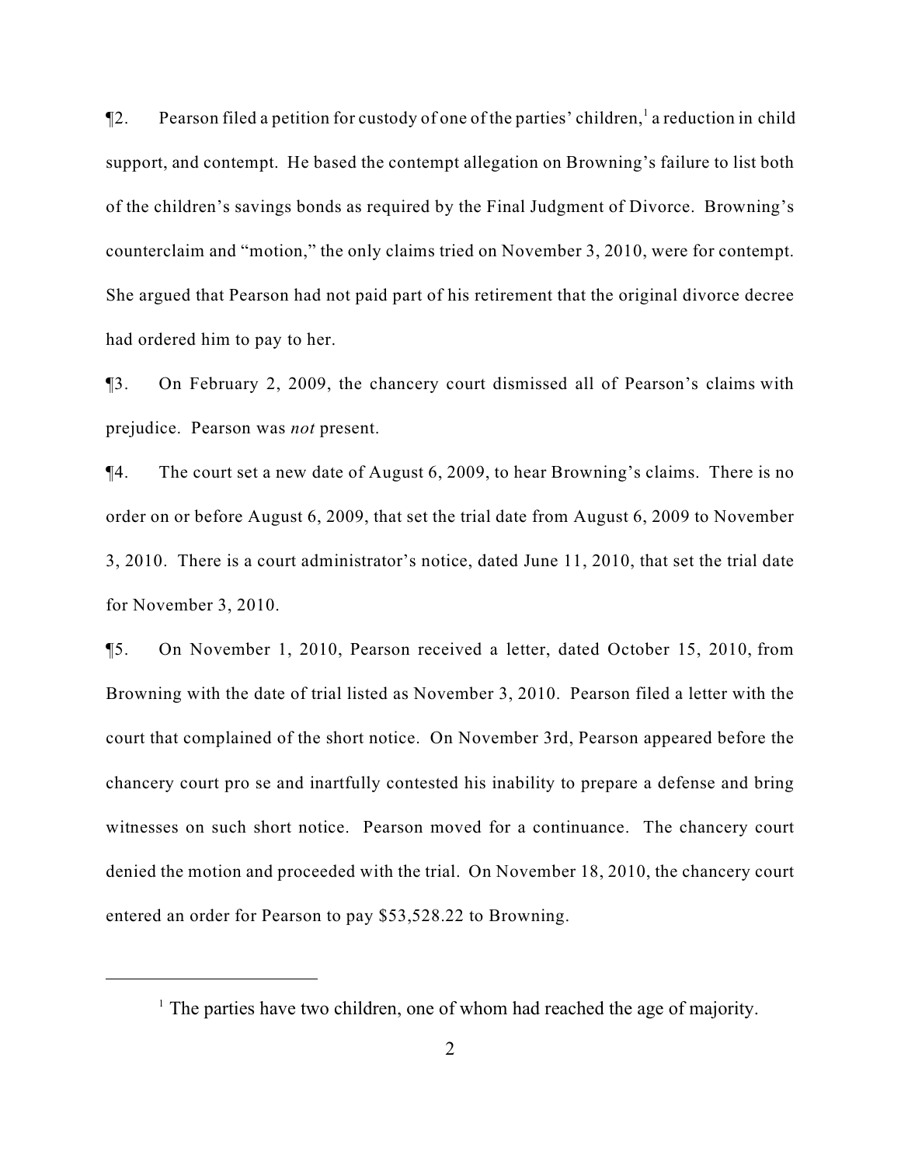$\P$ 2. Pearson filed a petition for custody of one of the parties' children, a reduction in child support, and contempt. He based the contempt allegation on Browning's failure to list both of the children's savings bonds as required by the Final Judgment of Divorce. Browning's counterclaim and "motion," the only claims tried on November 3, 2010, were for contempt. She argued that Pearson had not paid part of his retirement that the original divorce decree had ordered him to pay to her.

¶3. On February 2, 2009, the chancery court dismissed all of Pearson's claims with prejudice. Pearson was *not* present.

¶4. The court set a new date of August 6, 2009, to hear Browning's claims. There is no order on or before August 6, 2009, that set the trial date from August 6, 2009 to November 3, 2010. There is a court administrator's notice, dated June 11, 2010, that set the trial date for November 3, 2010.

¶5. On November 1, 2010, Pearson received a letter, dated October 15, 2010, from Browning with the date of trial listed as November 3, 2010. Pearson filed a letter with the court that complained of the short notice. On November 3rd, Pearson appeared before the chancery court pro se and inartfully contested his inability to prepare a defense and bring witnesses on such short notice. Pearson moved for a continuance. The chancery court denied the motion and proceeded with the trial. On November 18, 2010, the chancery court entered an order for Pearson to pay \$53,528.22 to Browning.

 $\frac{1}{1}$ . The parties have two children, one of whom had reached the age of majority.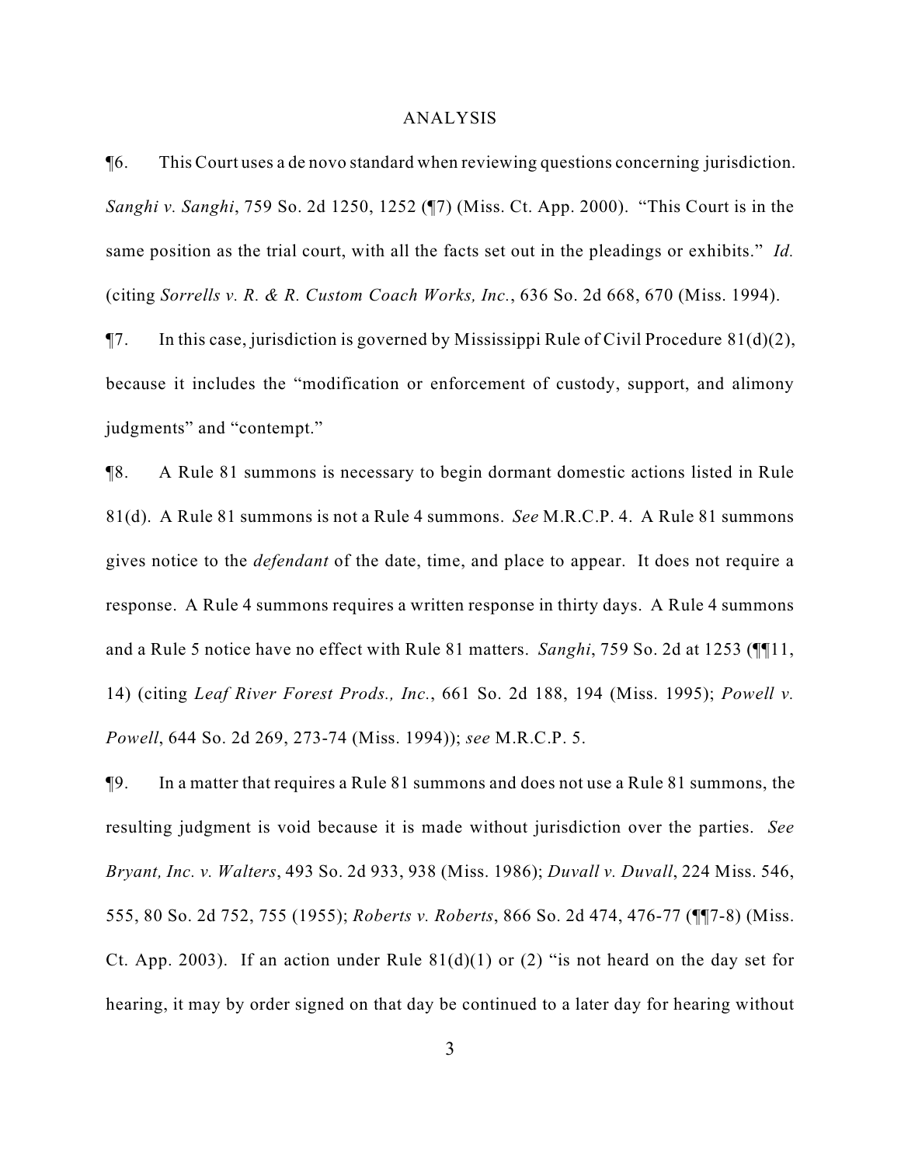### ANALYSIS

¶6. This Court uses a de novo standard when reviewing questions concerning jurisdiction. *Sanghi v. Sanghi*, 759 So. 2d 1250, 1252 (¶7) (Miss. Ct. App. 2000). "This Court is in the same position as the trial court, with all the facts set out in the pleadings or exhibits." *Id.* (citing *Sorrells v. R. & R. Custom Coach Works, Inc.*, 636 So. 2d 668, 670 (Miss. 1994).

 $\P$ 7. In this case, jurisdiction is governed by Mississippi Rule of Civil Procedure 81(d)(2), because it includes the "modification or enforcement of custody, support, and alimony judgments" and "contempt."

¶8. A Rule 81 summons is necessary to begin dormant domestic actions listed in Rule 81(d). A Rule 81 summons is not a Rule 4 summons. *See* M.R.C.P. 4. A Rule 81 summons gives notice to the *defendant* of the date, time, and place to appear. It does not require a response. A Rule 4 summons requires a written response in thirty days. A Rule 4 summons and a Rule 5 notice have no effect with Rule 81 matters. *Sanghi*, 759 So. 2d at 1253 (¶¶11, 14) (citing *Leaf River Forest Prods., Inc.*, 661 So. 2d 188, 194 (Miss. 1995); *Powell v. Powell*, 644 So. 2d 269, 273-74 (Miss. 1994)); *see* M.R.C.P. 5.

¶9. In a matter that requires a Rule 81 summons and does not use a Rule 81 summons, the resulting judgment is void because it is made without jurisdiction over the parties. *See Bryant, Inc. v. Walters*, 493 So. 2d 933, 938 (Miss. 1986); *Duvall v. Duvall*, 224 Miss. 546, 555, 80 So. 2d 752, 755 (1955); *Roberts v. Roberts*, 866 So. 2d 474, 476-77 (¶¶7-8) (Miss. Ct. App. 2003). If an action under Rule  $81(d)(1)$  or (2) "is not heard on the day set for hearing, it may by order signed on that day be continued to a later day for hearing without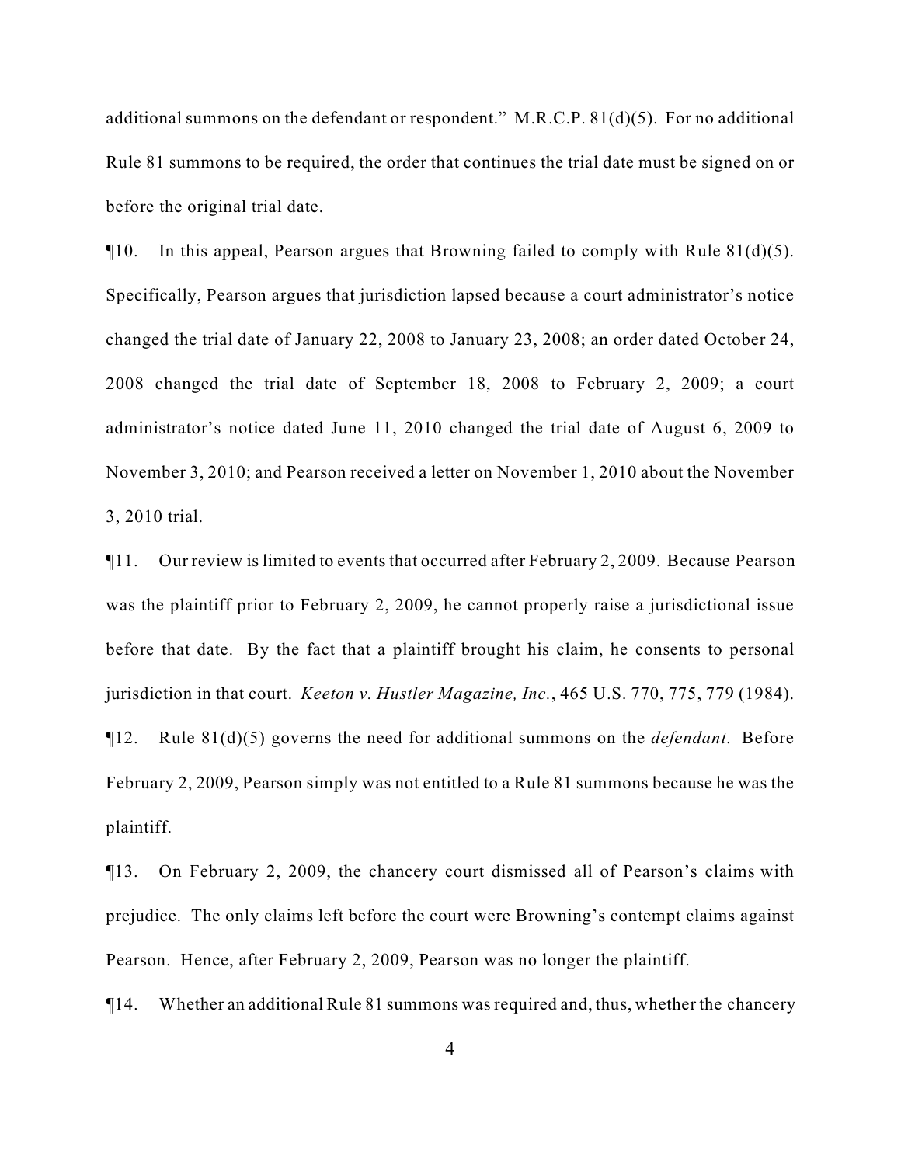additional summons on the defendant or respondent." M.R.C.P. 81(d)(5). For no additional Rule 81 summons to be required, the order that continues the trial date must be signed on or before the original trial date.

 $\P$ 10. In this appeal, Pearson argues that Browning failed to comply with Rule 81(d)(5). Specifically, Pearson argues that jurisdiction lapsed because a court administrator's notice changed the trial date of January 22, 2008 to January 23, 2008; an order dated October 24, 2008 changed the trial date of September 18, 2008 to February 2, 2009; a court administrator's notice dated June 11, 2010 changed the trial date of August 6, 2009 to November 3, 2010; and Pearson received a letter on November 1, 2010 about the November 3, 2010 trial.

¶11. Our review is limited to events that occurred after February 2, 2009. Because Pearson was the plaintiff prior to February 2, 2009, he cannot properly raise a jurisdictional issue before that date. By the fact that a plaintiff brought his claim, he consents to personal jurisdiction in that court. *Keeton v. Hustler Magazine, Inc.*, 465 U.S. 770, 775, 779 (1984). ¶12. Rule 81(d)(5) governs the need for additional summons on the *defendant*. Before February 2, 2009, Pearson simply was not entitled to a Rule 81 summons because he was the plaintiff.

¶13. On February 2, 2009, the chancery court dismissed all of Pearson's claims with prejudice. The only claims left before the court were Browning's contempt claims against Pearson. Hence, after February 2, 2009, Pearson was no longer the plaintiff.

¶14. Whether an additional Rule 81 summons was required and, thus, whether the chancery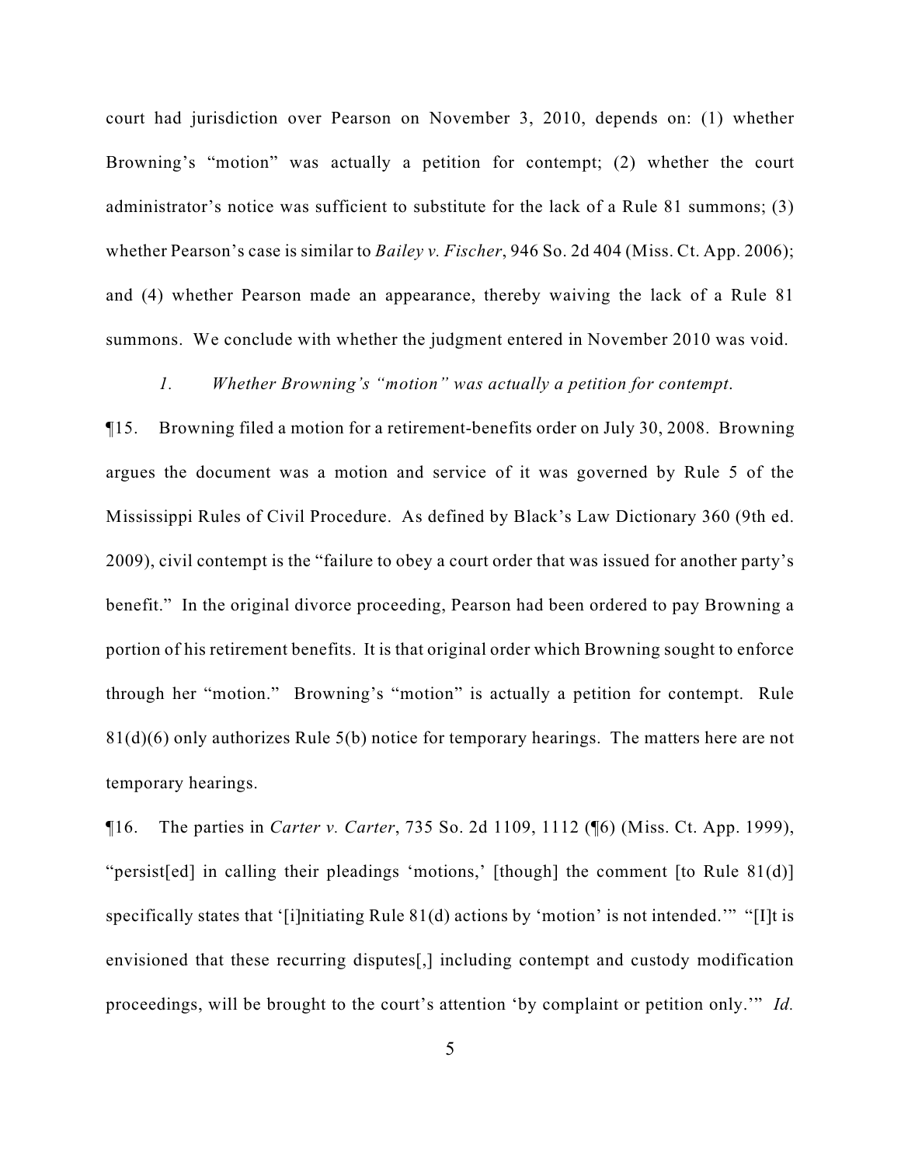court had jurisdiction over Pearson on November 3, 2010, depends on: (1) whether Browning's "motion" was actually a petition for contempt; (2) whether the court administrator's notice was sufficient to substitute for the lack of a Rule 81 summons; (3) whether Pearson's case is similar to *Bailey v. Fischer*, 946 So. 2d 404 (Miss. Ct. App. 2006); and (4) whether Pearson made an appearance, thereby waiving the lack of a Rule 81 summons. We conclude with whether the judgment entered in November 2010 was void.

# *1. Whether Browning's "motion" was actually a petition for contempt*.

¶15. Browning filed a motion for a retirement-benefits order on July 30, 2008. Browning argues the document was a motion and service of it was governed by Rule 5 of the Mississippi Rules of Civil Procedure. As defined by Black's Law Dictionary 360 (9th ed. 2009), civil contempt is the "failure to obey a court order that was issued for another party's benefit." In the original divorce proceeding, Pearson had been ordered to pay Browning a portion of his retirement benefits. It is that original order which Browning sought to enforce through her "motion." Browning's "motion" is actually a petition for contempt. Rule 81(d)(6) only authorizes Rule 5(b) notice for temporary hearings. The matters here are not temporary hearings.

¶16. The parties in *Carter v. Carter*, 735 So. 2d 1109, 1112 (¶6) (Miss. Ct. App. 1999), "persist[ed] in calling their pleadings 'motions,' [though] the comment [to Rule 81(d)] specifically states that '[i]nitiating Rule 81(d) actions by 'motion' is not intended.'" "[I]t is envisioned that these recurring disputes[,] including contempt and custody modification proceedings, will be brought to the court's attention 'by complaint or petition only.'" *Id.*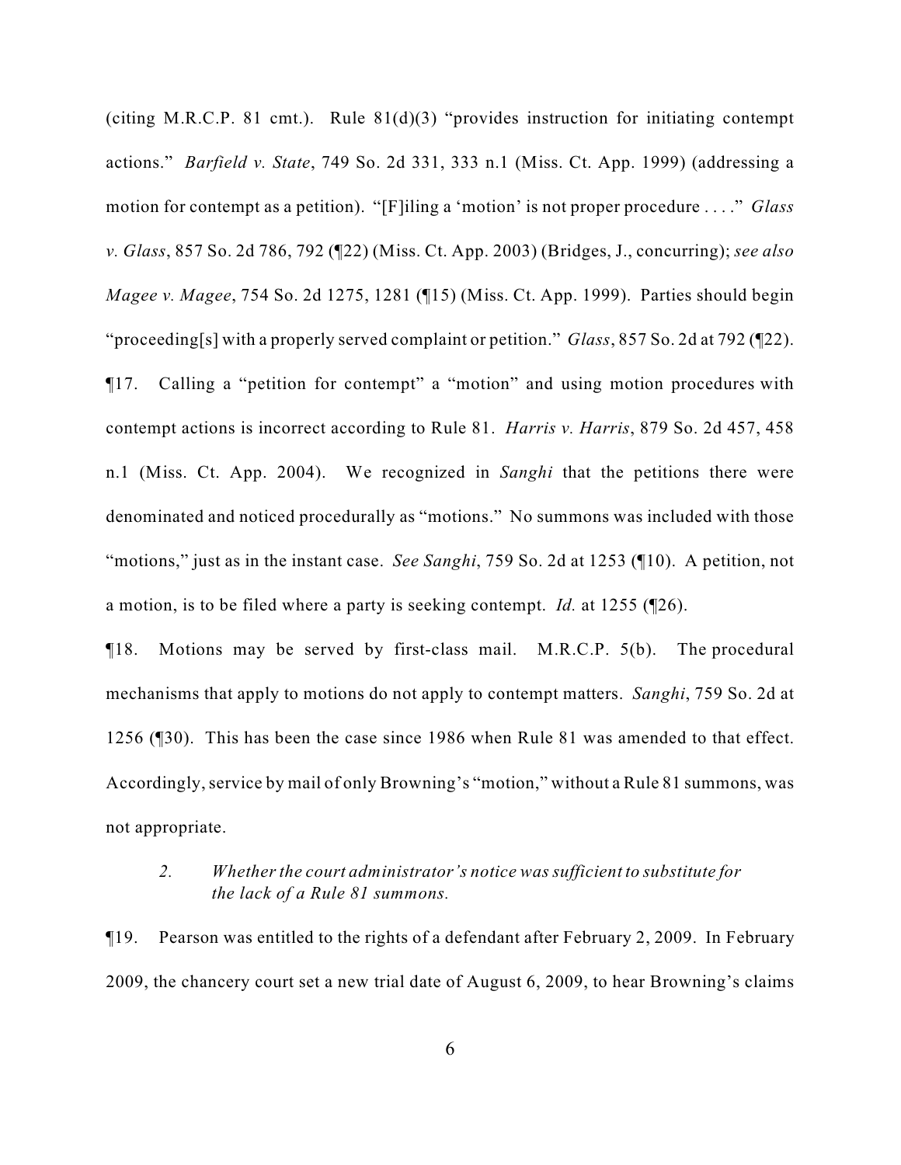(citing M.R.C.P. 81 cmt.). Rule  $81(d)(3)$  "provides instruction for initiating contempt actions." *Barfield v. State*, 749 So. 2d 331, 333 n.1 (Miss. Ct. App. 1999) (addressing a motion for contempt as a petition). "[F]iling a 'motion' is not proper procedure . . . ." *Glass v. Glass*, 857 So. 2d 786, 792 (¶22) (Miss. Ct. App. 2003) (Bridges, J., concurring); *see also Magee v. Magee*, 754 So. 2d 1275, 1281 (¶15) (Miss. Ct. App. 1999). Parties should begin "proceeding[s] with a properly served complaint or petition." *Glass*, 857 So. 2d at 792 (¶22). ¶17. Calling a "petition for contempt" a "motion" and using motion procedures with contempt actions is incorrect according to Rule 81. *Harris v. Harris*, 879 So. 2d 457, 458 n.1 (Miss. Ct. App. 2004). We recognized in *Sanghi* that the petitions there were denominated and noticed procedurally as "motions." No summons was included with those "motions," just as in the instant case. *See Sanghi*, 759 So. 2d at 1253 (¶10). A petition, not a motion, is to be filed where a party is seeking contempt. *Id.* at 1255 (¶26).

¶18. Motions may be served by first-class mail. M.R.C.P. 5(b). The procedural mechanisms that apply to motions do not apply to contempt matters. *Sanghi*, 759 So. 2d at 1256 (¶30). This has been the case since 1986 when Rule 81 was amended to that effect. Accordingly, service by mail of only Browning's "motion," without a Rule 81 summons, was not appropriate.

# *2. Whether the court administrator's notice was sufficient to substitute for the lack of a Rule 81 summons.*

¶19. Pearson was entitled to the rights of a defendant after February 2, 2009. In February 2009, the chancery court set a new trial date of August 6, 2009, to hear Browning's claims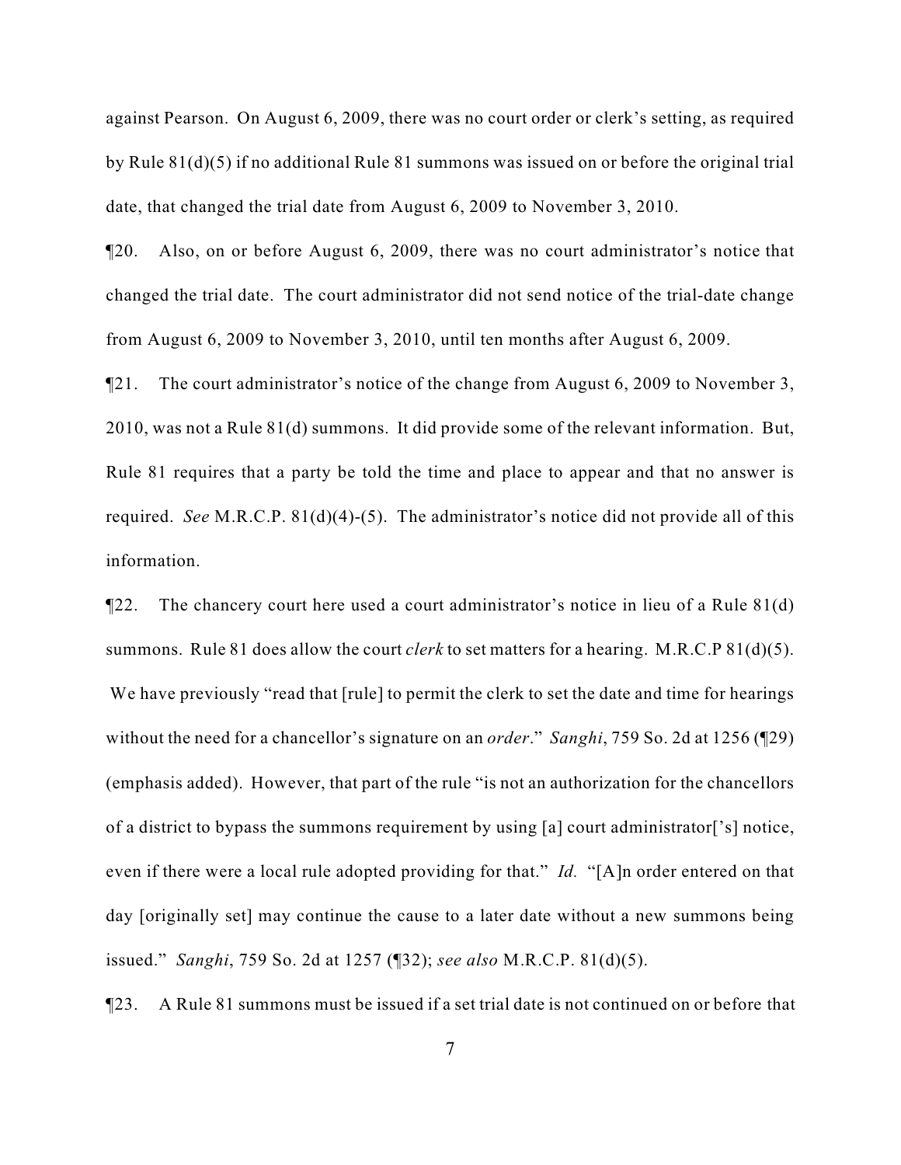against Pearson. On August 6, 2009, there was no court order or clerk's setting, as required by Rule 81(d)(5) if no additional Rule 81 summons was issued on or before the original trial date, that changed the trial date from August 6, 2009 to November 3, 2010.

¶20. Also, on or before August 6, 2009, there was no court administrator's notice that changed the trial date. The court administrator did not send notice of the trial-date change from August 6, 2009 to November 3, 2010, until ten months after August 6, 2009.

¶21. The court administrator's notice of the change from August 6, 2009 to November 3, 2010, was not a Rule 81(d) summons. It did provide some of the relevant information. But, Rule 81 requires that a party be told the time and place to appear and that no answer is required. *See* M.R.C.P. 81(d)(4)-(5). The administrator's notice did not provide all of this information.

¶22. The chancery court here used a court administrator's notice in lieu of a Rule 81(d) summons. Rule 81 does allow the court *clerk* to set matters for a hearing. M.R.C.P 81(d)(5). We have previously "read that [rule] to permit the clerk to set the date and time for hearings without the need for a chancellor's signature on an *order*." *Sanghi*, 759 So. 2d at 1256 (¶29) (emphasis added). However, that part of the rule "is not an authorization for the chancellors of a district to bypass the summons requirement by using [a] court administrator['s] notice, even if there were a local rule adopted providing for that." *Id.* "[A]n order entered on that day [originally set] may continue the cause to a later date without a new summons being issued." *Sanghi*, 759 So. 2d at 1257 (¶32); *see also* M.R.C.P. 81(d)(5).

¶23. A Rule 81 summons must be issued if a set trial date is not continued on or before that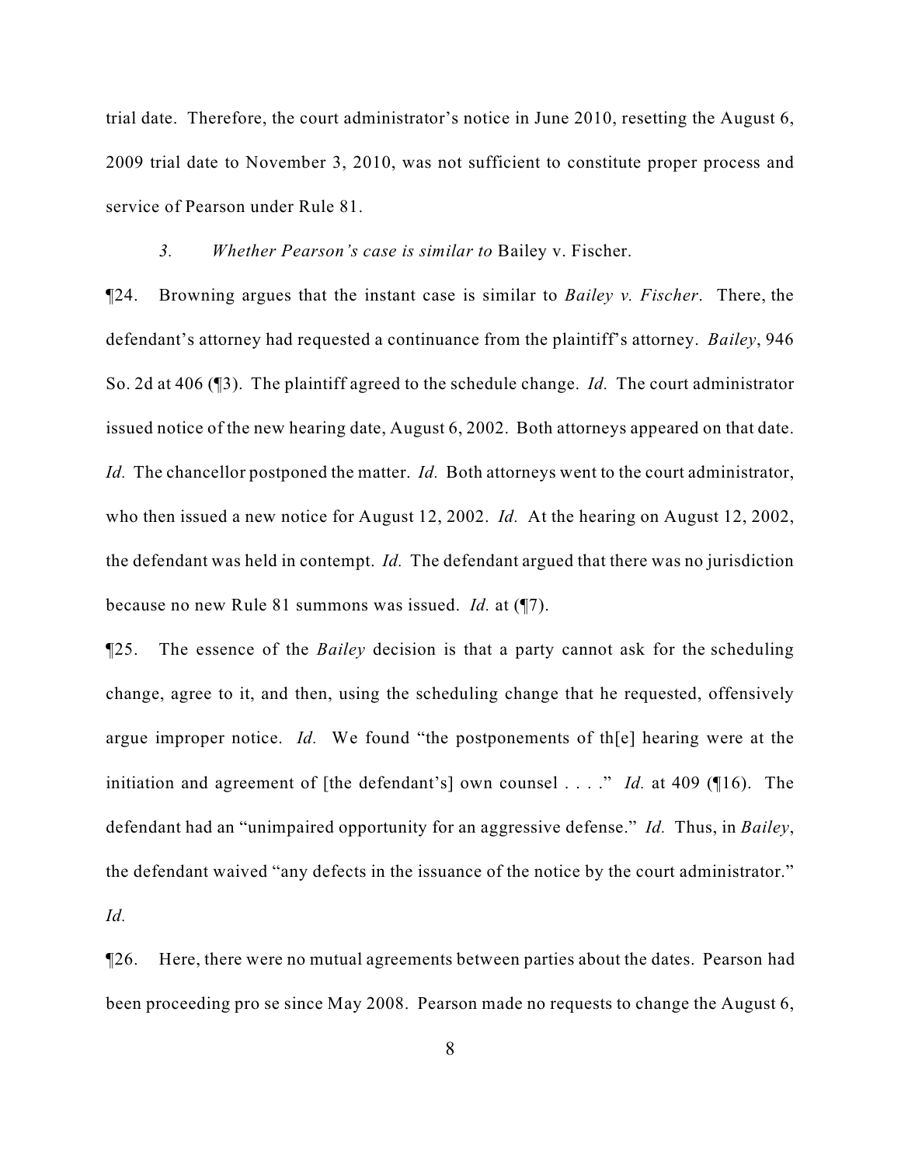trial date. Therefore, the court administrator's notice in June 2010, resetting the August 6, 2009 trial date to November 3, 2010, was not sufficient to constitute proper process and service of Pearson under Rule 81.

## *3. Whether Pearson's case is similar to* Bailey v. Fischer.

¶24. Browning argues that the instant case is similar to *Bailey v. Fischer*. There, the defendant's attorney had requested a continuance from the plaintiff's attorney. *Bailey*, 946 So. 2d at 406 (¶3). The plaintiff agreed to the schedule change. *Id.* The court administrator issued notice of the new hearing date, August 6, 2002. Both attorneys appeared on that date. *Id.* The chancellor postponed the matter. *Id.* Both attorneys went to the court administrator, who then issued a new notice for August 12, 2002. *Id.* At the hearing on August 12, 2002, the defendant was held in contempt. *Id.* The defendant argued that there was no jurisdiction because no new Rule 81 summons was issued. *Id.* at (¶7).

¶25. The essence of the *Bailey* decision is that a party cannot ask for the scheduling change, agree to it, and then, using the scheduling change that he requested, offensively argue improper notice. *Id.* We found "the postponements of th[e] hearing were at the initiation and agreement of [the defendant's] own counsel . . . ." *Id.* at 409 (¶16). The defendant had an "unimpaired opportunity for an aggressive defense." *Id.* Thus, in *Bailey*, the defendant waived "any defects in the issuance of the notice by the court administrator." *Id.*

¶26. Here, there were no mutual agreements between parties about the dates. Pearson had been proceeding pro se since May 2008. Pearson made no requests to change the August 6,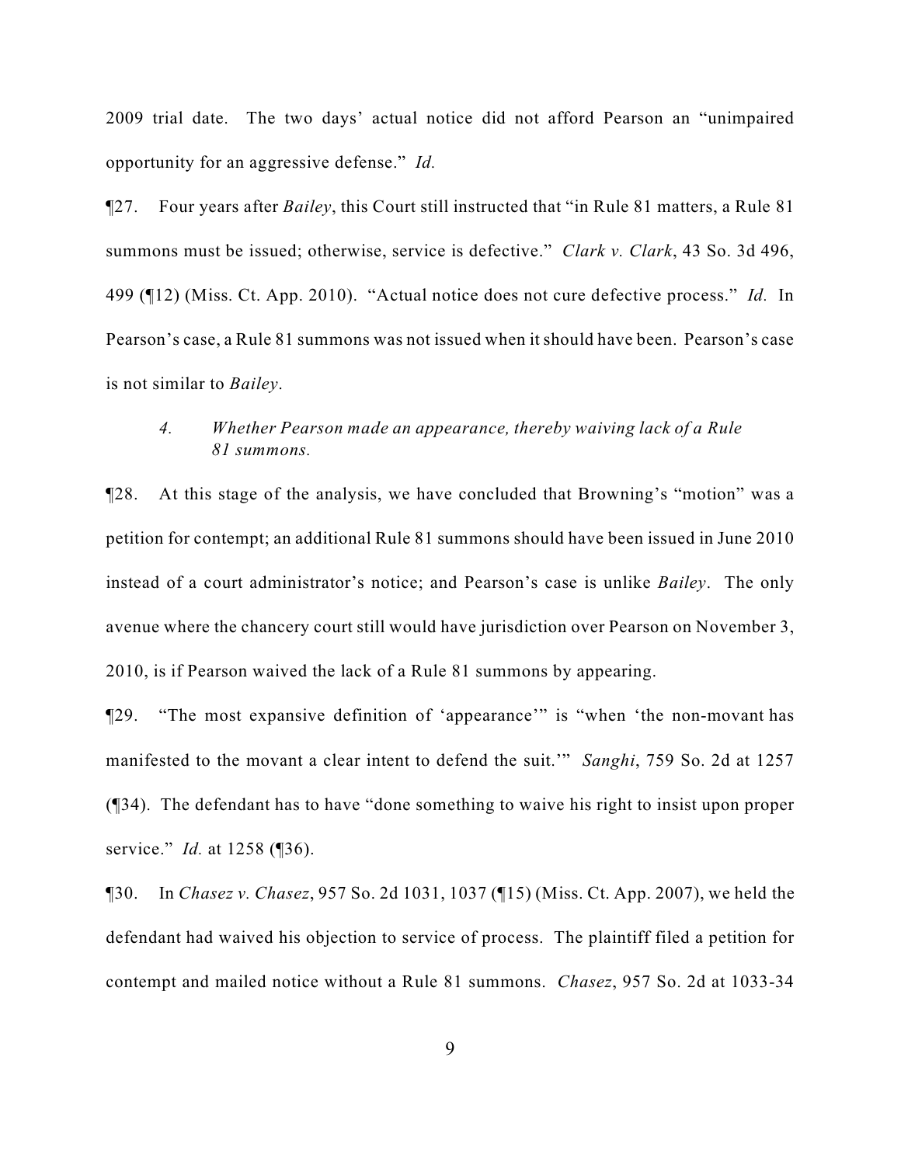2009 trial date. The two days' actual notice did not afford Pearson an "unimpaired opportunity for an aggressive defense." *Id.*

¶27. Four years after *Bailey*, this Court still instructed that "in Rule 81 matters, a Rule 81 summons must be issued; otherwise, service is defective." *Clark v. Clark*, 43 So. 3d 496, 499 (¶12) (Miss. Ct. App. 2010). "Actual notice does not cure defective process." *Id.* In Pearson's case, a Rule 81 summons was not issued when it should have been. Pearson's case is not similar to *Bailey*.

# *4. Whether Pearson made an appearance, thereby waiving lack of a Rule 81 summons.*

¶28. At this stage of the analysis, we have concluded that Browning's "motion" was a petition for contempt; an additional Rule 81 summons should have been issued in June 2010 instead of a court administrator's notice; and Pearson's case is unlike *Bailey*. The only avenue where the chancery court still would have jurisdiction over Pearson on November 3, 2010, is if Pearson waived the lack of a Rule 81 summons by appearing.

¶29. "The most expansive definition of 'appearance'" is "when 'the non-movant has manifested to the movant a clear intent to defend the suit.'" *Sanghi*, 759 So. 2d at 1257 (¶34). The defendant has to have "done something to waive his right to insist upon proper service." *Id.* at 1258 (¶36).

¶30. In *Chasez v. Chasez*, 957 So. 2d 1031, 1037 (¶15) (Miss. Ct. App. 2007), we held the defendant had waived his objection to service of process. The plaintiff filed a petition for contempt and mailed notice without a Rule 81 summons. *Chasez*, 957 So. 2d at 1033-34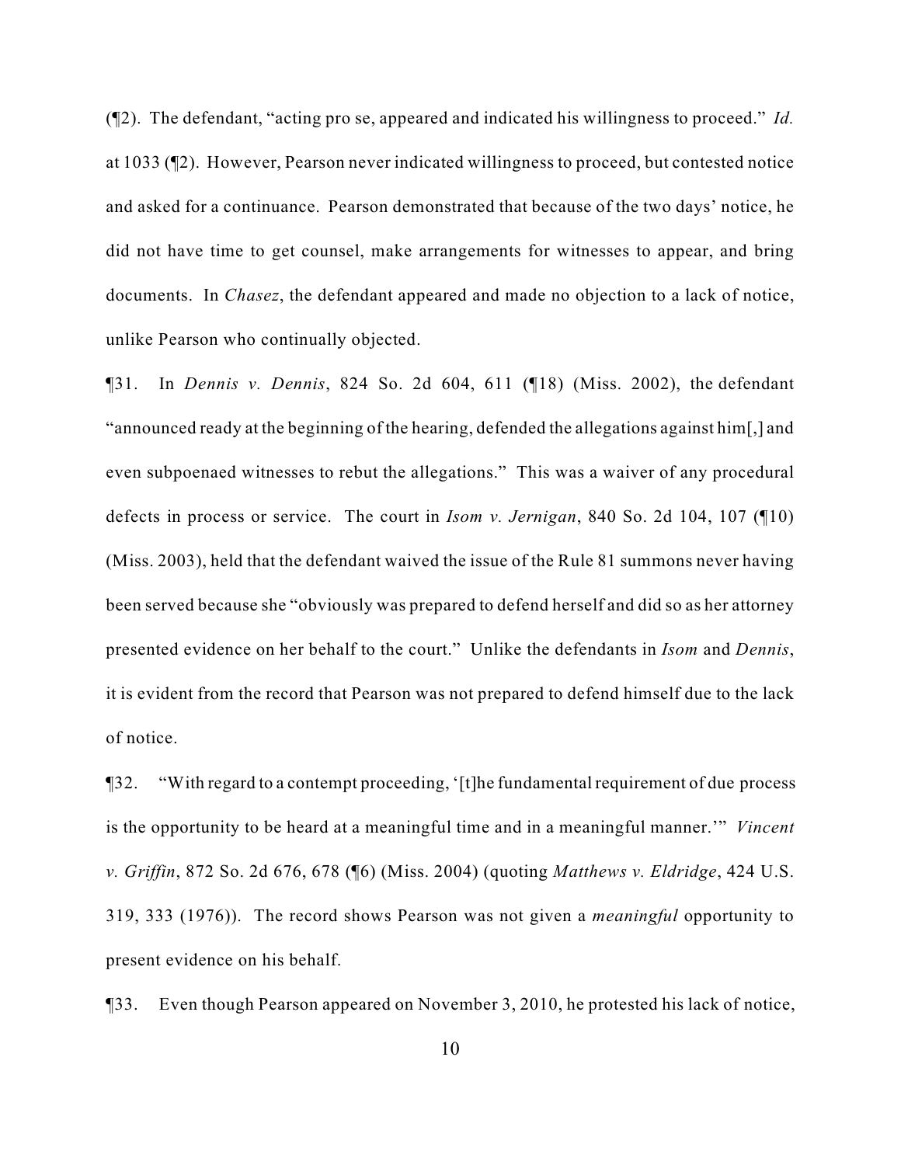(¶2). The defendant, "acting pro se, appeared and indicated his willingness to proceed." *Id.* at 1033 (¶2). However, Pearson never indicated willingness to proceed, but contested notice and asked for a continuance. Pearson demonstrated that because of the two days' notice, he did not have time to get counsel, make arrangements for witnesses to appear, and bring documents. In *Chasez*, the defendant appeared and made no objection to a lack of notice, unlike Pearson who continually objected.

¶31. In *Dennis v. Dennis*, 824 So. 2d 604, 611 (¶18) (Miss. 2002), the defendant "announced ready at the beginning of the hearing, defended the allegations against him[,] and even subpoenaed witnesses to rebut the allegations." This was a waiver of any procedural defects in process or service. The court in *Isom v. Jernigan*, 840 So. 2d 104, 107 (¶10) (Miss. 2003), held that the defendant waived the issue of the Rule 81 summons never having been served because she "obviously was prepared to defend herself and did so as her attorney presented evidence on her behalf to the court." Unlike the defendants in *Isom* and *Dennis*, it is evident from the record that Pearson was not prepared to defend himself due to the lack of notice.

¶32. "With regard to a contempt proceeding, '[t]he fundamental requirement of due process is the opportunity to be heard at a meaningful time and in a meaningful manner.'" *Vincent v. Griffin*, 872 So. 2d 676, 678 (¶6) (Miss. 2004) (quoting *Matthews v. Eldridge*, 424 U.S. 319, 333 (1976)). The record shows Pearson was not given a *meaningful* opportunity to present evidence on his behalf.

¶33. Even though Pearson appeared on November 3, 2010, he protested his lack of notice,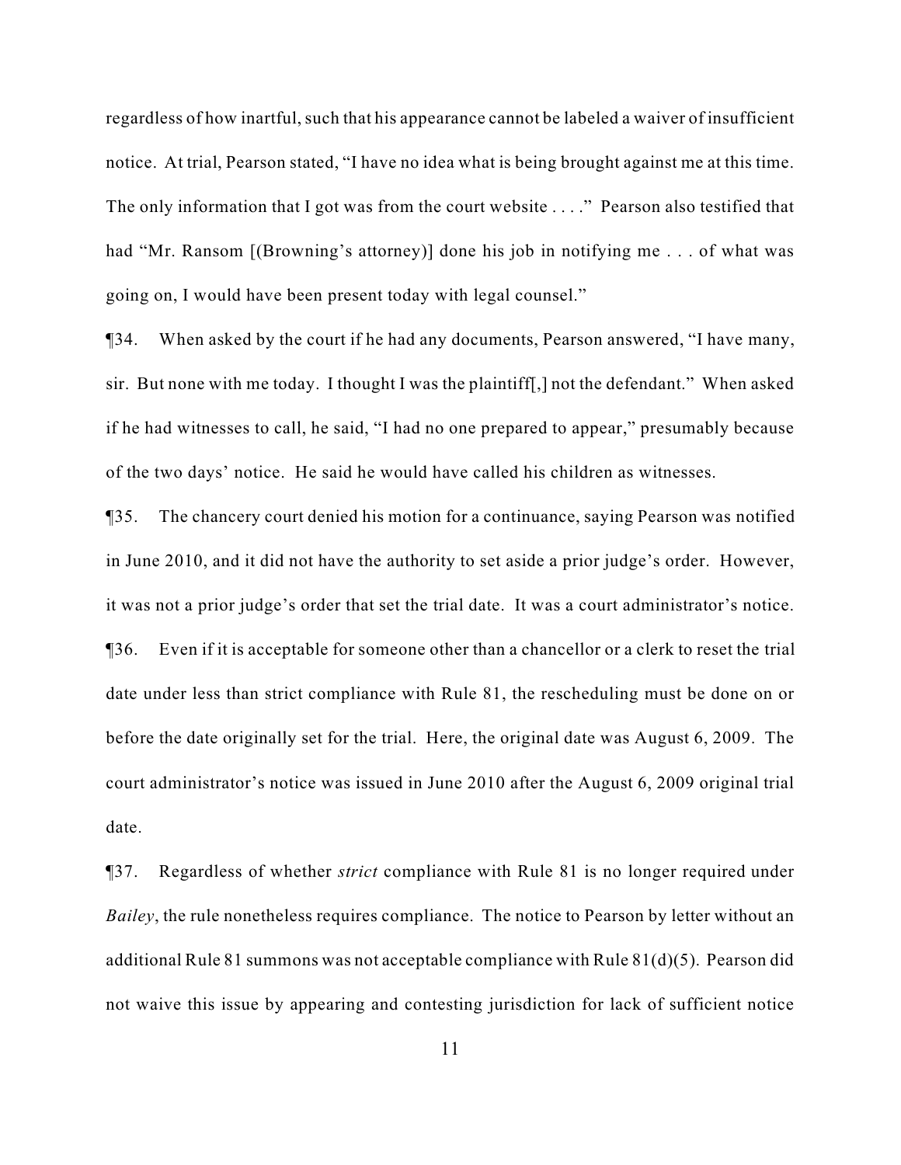regardless of how inartful, such that his appearance cannot be labeled a waiver of insufficient notice. At trial, Pearson stated, "I have no idea what is being brought against me at this time. The only information that I got was from the court website . . . ." Pearson also testified that had "Mr. Ransom [(Browning's attorney)] done his job in notifying me . . . of what was going on, I would have been present today with legal counsel."

¶34. When asked by the court if he had any documents, Pearson answered, "I have many, sir. But none with me today. I thought I was the plaintiff[,] not the defendant." When asked if he had witnesses to call, he said, "I had no one prepared to appear," presumably because of the two days' notice. He said he would have called his children as witnesses.

¶35. The chancery court denied his motion for a continuance, saying Pearson was notified in June 2010, and it did not have the authority to set aside a prior judge's order. However, it was not a prior judge's order that set the trial date. It was a court administrator's notice. ¶36. Even if it is acceptable for someone other than a chancellor or a clerk to reset the trial date under less than strict compliance with Rule 81, the rescheduling must be done on or before the date originally set for the trial. Here, the original date was August 6, 2009. The court administrator's notice was issued in June 2010 after the August 6, 2009 original trial date.

¶37. Regardless of whether *strict* compliance with Rule 81 is no longer required under *Bailey*, the rule nonetheless requires compliance. The notice to Pearson by letter without an additional Rule 81 summons was not acceptable compliance with Rule 81(d)(5). Pearson did not waive this issue by appearing and contesting jurisdiction for lack of sufficient notice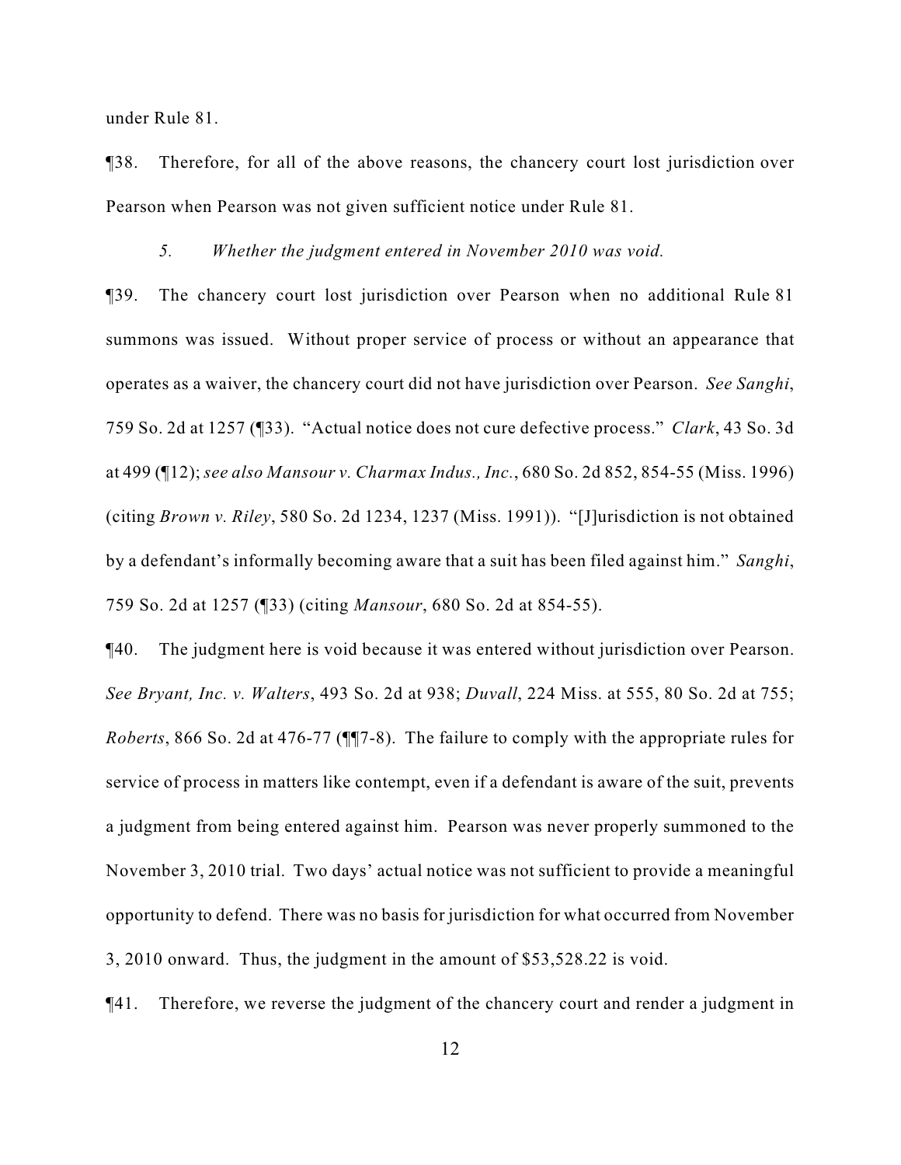under Rule 81.

¶38. Therefore, for all of the above reasons, the chancery court lost jurisdiction over Pearson when Pearson was not given sufficient notice under Rule 81.

*5. Whether the judgment entered in November 2010 was void.*

¶39. The chancery court lost jurisdiction over Pearson when no additional Rule 81 summons was issued. Without proper service of process or without an appearance that operates as a waiver, the chancery court did not have jurisdiction over Pearson. *See Sanghi*, 759 So. 2d at 1257 (¶33). "Actual notice does not cure defective process." *Clark*, 43 So. 3d at 499 (¶12); *see also Mansour v. Charmax Indus., Inc.*, 680 So. 2d 852, 854-55 (Miss. 1996) (citing *Brown v. Riley*, 580 So. 2d 1234, 1237 (Miss. 1991)). "[J]urisdiction is not obtained by a defendant's informally becoming aware that a suit has been filed against him." *Sanghi*, 759 So. 2d at 1257 (¶33) (citing *Mansour*, 680 So. 2d at 854-55).

¶40. The judgment here is void because it was entered without jurisdiction over Pearson. *See Bryant, Inc. v. Walters*, 493 So. 2d at 938; *Duvall*, 224 Miss. at 555, 80 So. 2d at 755; *Roberts*, 866 So. 2d at 476-77 (¶¶7-8). The failure to comply with the appropriate rules for service of process in matters like contempt, even if a defendant is aware of the suit, prevents a judgment from being entered against him. Pearson was never properly summoned to the November 3, 2010 trial. Two days' actual notice was not sufficient to provide a meaningful opportunity to defend. There was no basis for jurisdiction for what occurred from November 3, 2010 onward. Thus, the judgment in the amount of \$53,528.22 is void.

¶41. Therefore, we reverse the judgment of the chancery court and render a judgment in